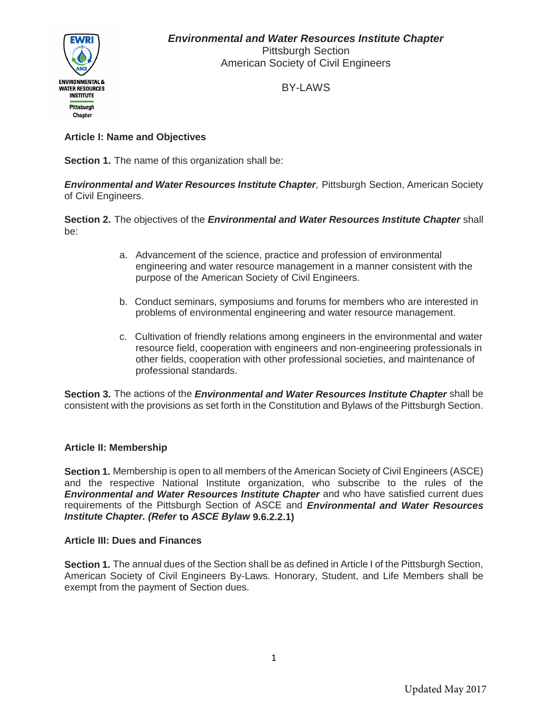

BY-LAWS

# **Article I: Name and Objectives**

**Section 1.** The name of this organization shall be:

*Environmental and Water Resources Institute Chapter,* Pittsburgh Section, American Society of Civil Engineers.

**Section 2.** The objectives of the *Environmental and Water Resources Institute Chapter* shall be:

- a. Advancement of the science, practice and profession of environmental engineering and water resource management in a manner consistent with the purpose of the American Society of Civil Engineers.
- b. Conduct seminars, symposiums and forums for members who are interested in problems of environmental engineering and water resource management.
- c. Cultivation of friendly relations among engineers in the environmental and water resource field, cooperation with engineers and non-engineering professionals in other fields, cooperation with other professional societies, and maintenance of professional standards.

**Section 3.** The actions of the *Environmental and Water Resources Institute Chapter* shall be consistent with the provisions as set forth in the Constitution and Bylaws of the Pittsburgh Section.

# **Article II: Membership**

**Section 1.** Membership is open to all members of the American Society of Civil Engineers (ASCE) and the respective National Institute organization, who subscribe to the rules of the *Environmental and Water Resources Institute Chapter* and who have satisfied current dues requirements of the Pittsburgh Section of ASCE and *Environmental and Water Resources Institute Chapter. (Refer* **to** *ASCE Bylaw* **9.6.2.2.1)**

# **Article III: Dues and Finances**

**Section 1.** The annual dues of the Section shall be as defined in Article I of the Pittsburgh Section, American Society of Civil Engineers By-Laws. Honorary, Student, and Life Members shall be exempt from the payment of Section dues.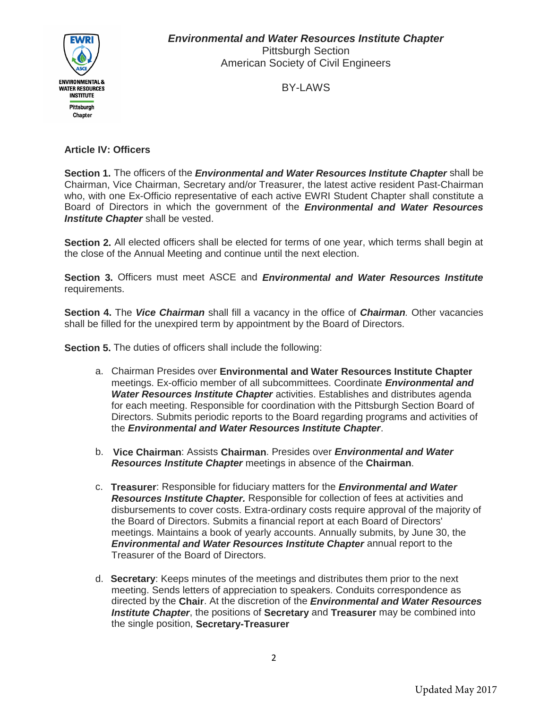

BY-LAWS

# **Article IV: Officers**

**Section 1.** The officers of the *Environmental and Water Resources Institute Chapter* shall be Chairman, Vice Chairman, Secretary and/or Treasurer, the latest active resident Past-Chairman who, with one Ex-Officio representative of each active EWRI Student Chapter shall constitute a Board of Directors in which the government of the *Environmental and Water Resources Institute Chapter* shall be vested.

**Section 2.** All elected officers shall be elected for terms of one year, which terms shall begin at the close of the Annual Meeting and continue until the next election.

**Section 3.** Officers must meet ASCE and *Environmental and Water Resources Institute* requirements.

**Section 4.** The *Vice Chairman* shall fill a vacancy in the office of *Chairman.* Other vacancies shall be filled for the unexpired term by appointment by the Board of Directors.

**Section 5.** The duties of officers shall include the following:

- a. Chairman Presides over **Environmental and Water Resources Institute Chapter** meetings. Ex-officio member of all subcommittees. Coordinate *Environmental and Water Resources Institute Chapter* activities. Establishes and distributes agenda for each meeting. Responsible for coordination with the Pittsburgh Section Board of Directors. Submits periodic reports to the Board regarding programs and activities of the *Environmental and Water Resources Institute Chapter*.
- b. **Vice Chairman**: Assists **Chairman**. Presides over *Environmental and Water Resources Institute Chapter* meetings in absence of the **Chairman**.
- c. **Treasurer**: Responsible for fiduciary matters for the *Environmental and Water Resources Institute Chapter.* Responsible for collection of fees at activities and disbursements to cover costs. Extra-ordinary costs require approval of the majority of the Board of Directors. Submits a financial report at each Board of Directors' meetings. Maintains a book of yearly accounts. Annually submits, by June 30, the *Environmental and Water Resources Institute Chapter* annual report to the Treasurer of the Board of Directors.
- d. **Secretary**: Keeps minutes of the meetings and distributes them prior to the next meeting. Sends letters of appreciation to speakers. Conduits correspondence as directed by the **Chair**. At the discretion of the *Environmental and Water Resources Institute Chapter*, the positions of **Secretary** and **Treasurer** may be combined into the single position, **Secretary-Treasurer**